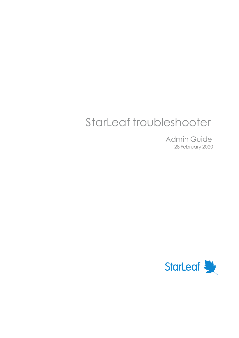# StarLeaf troubleshooter

Admin Guide 28 February 2020

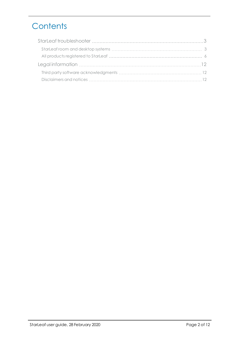# **Contents**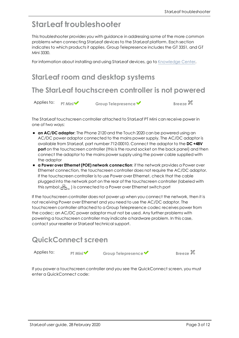# <span id="page-2-0"></span>**StarLeaf troubleshooter**

This troubleshooter provides you with guidance in addressing some of the more common problems when connecting StarLeaf devices to the StarLeaf platform. Each section indicates to which products it applies. Group Telepresence includes the GT 3351, and GT Mini 3330.

<span id="page-2-1"></span>For information about installing and using StarLeaf devices, go to [Knowledge](https://support.starleaf.com/) Center.

### **StarLeaf room and desktop systems**

# **The StarLeaf touchscreen controller is not powered**

Applies to: **PT** Mini **V** Group Telepresence **V** Breeze

The StarLeaf touchscreen controller attached to StarLeaf PT Mini can receive power in one of two ways:

- **an AC/DC adaptor:** The Phone 2120 and the Touch 2020 can be powered using an AC/DC power adaptor connected to the mains power supply. The AC/DC adaptor is available from StarLeaf, part number 712-00010. Connect the adaptor to the **DC +48V port** on the touchscreen controller (this is the round socket on the back panel) and then connect the adaptor to the mains power supply using the power cable supplied with the adaptor
- <sup>n</sup> **a Power over Ethernet (POE) network connection**: if the network provides a Power over Ethernet connection, the touchscreen controller does not require the AC/DC adaptor. If the touchscreen controller is to use Power over Ethernet, check that the cable plugged into the network port on the rear of the touchscreen controller (labeled with this symbol:  $\frac{1}{2}$ , is connected to a Power over Ethernet switch port

If the touchscreen controller does not power up when you connect the network, then it is not receiving Power over Ethernet and you need to use the AC/DC adaptor. The touchscreen controller attached to a Group Telepresence codec receives power from the codec; an AC/DC power adaptor must not be used. Any further problems with powering a touchscreen controller may indicate a hardware problem. In this case, contact your reseller or StarLeaf technical support.

### **QuickConnect screen**

Applies to: **PT** Mini<sup>◆</sup> Group Telepresence ◆ Breeze

If you power a touchscreen controller and you see the QuickConnect screen, you must enter a QuickConnect code: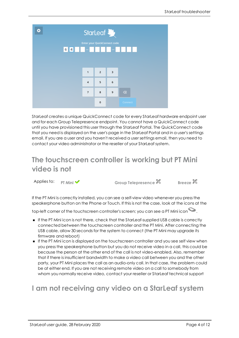| o                            |                                                                                                             |                         | StarLeaf    |   |                |  |  |  |
|------------------------------|-------------------------------------------------------------------------------------------------------------|-------------------------|-------------|---|----------------|--|--|--|
| Enter your QuickConnect code |                                                                                                             |                         |             |   |                |  |  |  |
|                              | $\begin{array}{c c c c c c} \hline \textbf{6} & \textbf{4} & \textbf{5} & \textbf{6} \\ \hline \end{array}$ |                         |             |   |                |  |  |  |
|                              |                                                                                                             |                         |             |   |                |  |  |  |
|                              |                                                                                                             |                         |             |   |                |  |  |  |
|                              |                                                                                                             | 1                       | $\mathbf 2$ | 3 |                |  |  |  |
|                              |                                                                                                             | $\overline{\mathbf{4}}$ | 5           | 6 |                |  |  |  |
|                              |                                                                                                             | $\overline{7}$          | 8           | 9 | $\overline{a}$ |  |  |  |
|                              |                                                                                                             |                         | 0           |   | Connect        |  |  |  |

StarLeaf creates a unique QuickConnect code for every StarLeaf hardware endpoint user and for each Group Telepresence endpoint. You cannot have a QuickConnect code until you have provisioned this user through the StarLeaf Portal. The QuickConnect code that you need is displayed on the user's page in the StarLeaf Portal and in a user's settings email. If you are a user and you haven't received a user settings email, then you need to contact your video administrator or the reseller of your StarLeaf system.

# **The touchscreen controller is working but PT Mini video is not**

Applies to: **PT** Mini ◆ **Group Telepresence Breeze Breeze** 

If the PT Mini is correctly installed, you can see a self-view video whenever you press the speakerphone button on the Phone or Touch. If this is not the case, look at the icons at the

top-left corner of the touchscreen controller's screen; you can see a PT Mini icon  $\bullet$ .

- <sup>n</sup> If the PT Mini icon is not there, check that the StarLeaf-supplied USB cable is correctly connected between the touchscreen controller and the PT Mini. After connecting the USB cable, allow 30 seconds for the system to connect (the PT Mini may upgrade its firmware and reboot)
- <sup>n</sup> If the PT Mini icon is displayed on the touchscreen controller and you see self view when you press the speakerphone button but you do not receive video in a call, this could be because the person at the other end of the call is not video-enabled. Also, remember that if there is insufficient bandwidth to make a video call between you and the other party, your PT Mini places the call as an audio-only call. In that case, the problem could be at either end. If you are not receiving remote video on a call to somebody from whom you normally receive video, contact your reseller or StarLeaf technical support

# **I am not receiving any video on a StarLeaf system**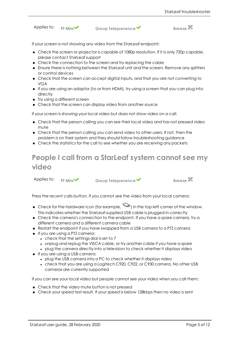Applies to: **PT** Mini ◆ Group Telepresence ◆ Breeze

If your screen is not showing any video from the StarLeaf endpoint:

- <sup>n</sup> Check the screen or projector is capable of 1080p resolution. If it is only 720p capable, please contact StarLeaf support
- <sup>n</sup> Check the connection to the screen and try replacing the cable
- <sup>n</sup> Ensure there is nothing between the StarLeaf unit and the screen. Remove any splitters or control devices
- <sup>n</sup> Check that the screen can accept digital inputs, and that you are not converting to VGA
- <sup>n</sup> If you are using an adaptor (to or from HDMI), try using a screen that you can plug into directly
- **n** Try using a different screen
- <sup>n</sup> Check that the screen can display video from another source

If your screen is showing your local video but does not show video on a call:

- <sup>n</sup> Check that the person calling you can see their local video and has not pressed video mute
- <sup>n</sup> Check that the person calling you can send video to other users. If not, then the problem is on their system and they should follow troubleshooting guidance
- <sup>n</sup> Check the statistics for the call to see whether you are receiving any packets

# **People I call from a StarLeaf system cannot see my video**

Applies to: **PT** Mini ◆ Group Telepresence ◆ Breeze

Press the recent calls button. If you cannot see the video from your local camera:

- $\bullet$  Check for the hardware icon (for example,  $\bullet$ ) in the top-left corner of the window. This indicates whether the StarLeaf-supplied USB cable is plugged in correctly
- <sup>n</sup> Check the camera's connection to the endpoint. If you have a spare camera, try a different camera and a different camera cable
- <sup>n</sup> Restart the endpoint if you have swapped from a USB camera to a PTZ camera
- **n** If you are using a PTZ camera:
	- $\bullet$  check that the settings dial is set to  $7$
	- unplug and replug the VISCA cable, or try another cable if you have a spare
	- plug the camera directly into a television to check whether it displays video
- **n** If you are using a USB camera:
	- plug the USB camera into a PC to check whether it displays video
	- check that you are using a Logitech C920, C922, or C930 camera. No other USB cameras are currently supported

If you can see your local video but people cannot see your video when you call them:

- Check that the video mute button is not pressed
- <sup>n</sup> Check your speed test result. If your speed is below 128kbps then no video is sent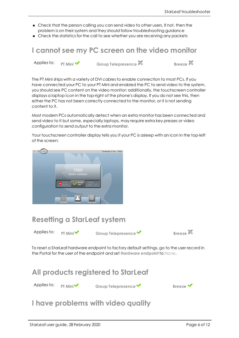- <sup>n</sup> Check that the person calling you can send video to other users. If not, then the problem is on their system and they should follow troubleshooting guidance
- <sup>n</sup> Check the statistics for the call to see whether you are receiving any packets

### **I cannot see my PC screen on the video monitor**

Applies to: **PT** Mini ◆ Group Telepresence **Breeze Breeze Breeze** 

The PT Mini ships with a variety of DVI cables to enable connection to most PCs. If you have connected your PC to your PT Mini and enabled the PC to send video to the system, you should see PC content on the video monitor; additionally, the touchscreen controller displays a laptop icon in the top-right of the phone's display. If you do not see this, then either the PC has not been correctly connected to the monitor, or it is not sending content to it.

Most modern PCs automatically detect when an extra monitor has been connected and send video to it but some, especially laptops, may require extra key presses or video configuration to send output to the extra monitor.

Your touchscreen controller display tells you if your PC is asleep with an icon in the top-left of the screen:



### **Resetting a StarLeaf system**

Applies to: **PT** Mini **V** Group Telepresence ◆ Breeze

To reset a StarLeaf hardware endpoint to factory default settings, go to the user record in the Portal for the user of the endpoint and set **Hardware endpoint** to *None*.

<span id="page-5-0"></span>

### **I have problems with video quality**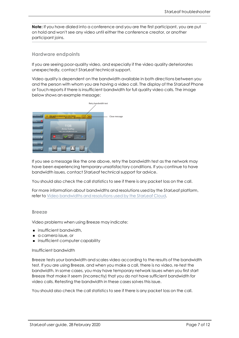**Note:** If you have dialed into a conference and you are the first participant, you are put on hold and won't see any video until either the conference creator, or another participant joins.

#### **Hardware endpoints**

If you are seeing poor-quality video, and especially if the video quality deteriorates unexpectedly, contact StarLeaf technical support.

Video quality is dependent on the bandwidth available in both directions between you and the person with whom you are having a video call. The display of the StarLeaf Phone or Touch reports if there is insufficient bandwidth for full quality video calls. The image below shows an example message:



If you see a message like the one above, retry the bandwidth test as the network may have been experiencing temporary unsatisfactory conditions. If you continue to have bandwidth issues, contact StarLeaf technical support for advice.

You should also check the call statistics to see if there is any packet loss on the call.

For more information about bandwidths and resolutions used by the StarLeaf platform, refer to Video bandwidths and resolutions used by the StarLeaf Cloud.

#### **Breeze**

Video problems when using Breeze may indicate:

- n insufficient bandwidth,
- <sup>n</sup> a camera issue, or
- **n** insufficient computer capability

Insufficient bandwidth

Breeze tests your bandwidth and scales video according to the results of the bandwidth test. If you are using Breeze, and when you make a call, there is no video, re-test the bandwidth. In some cases, you may have temporary network issues when you first start Breeze that make it seem (incorrectly) that you do not have sufficient bandwidth for video calls. Retesting the bandwidth in these cases solves this issue.

You should also check the call statistics to see if there is any packet loss on the call.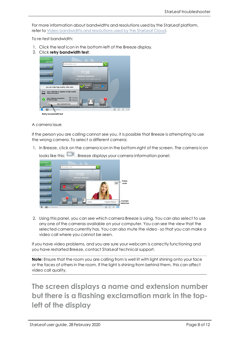For more information about bandwidths and resolutions used by the StarLeaf platform, refer to Video bandwidths and resolutions used by the StarLeaf Cloud.

To re-test bandwidth:

- 1. Click the leaf icon in the bottom-left of the Breeze display.
- 2. Click **retry bandwidth test**:



#### A camera issue

If the person you are calling cannot see you, it is possible that Breeze is attempting to use the wrong camera. To select a different camera:

1. In Breeze, click on the camera icon in the bottom-right of the screen. The camera icon



looks like this:  $\Box$  Breeze displays your camera information panel:

2. Using this panel, you can see which camera Breeze is using. You can also select to use any one of the cameras available on your computer. You can see the view that the selected camera currently has. You can also mute the video -so that you can make a video call where you cannot be seen.

If you have video problems, and you are sure your webcam is correctly functioning and you have restarted Breeze, contact StarLeaf technical support.

**Note:** Ensure that the room you are calling from is well lit with light shining onto your face or the faces of others in the room. If the light is shining from behind them, this can affect video call quality.

**The screen displays a name and extension number but there is a flashing exclamation mark in the topleft of the display**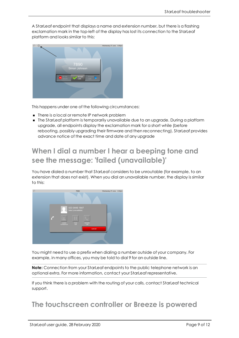A StarLeaf endpoint that displays a name and extension number, but there is a flashing exclamation mark in the top-left of the display has lost its connection to the StarLeaf platform and looks similar to this:



This happens under one of the following circumstances:

- There is a local or remote IP network problem
- **n** The Starleaf platform is temporarily unavailable due to an upgrade. During a platform upgrade, all endpoints display the exclamation mark for a short while (before rebooting, possibly upgrading their firmware and then reconnecting). StarLeaf provides advance notice of the exact time and date of any upgrade

# **When I dial a number I hear a beeping tone and see the message: 'failed (unavailable)'**

You have dialed a number that StarLeaf considers to be unroutable (for example, to an extension that does not exist). When you dial an unavailable number, the display is similar to this:



You might need to use a prefix when dialing a number outside of your company. For example, in many offices, you may be told to dial 9 for an outside line.

**Note:** Connection from your StarLeaf endpoints to the public telephone network is an optional extra. For more information, contact your StarLeaf representative.

If you think there is a problem with the routing of your calls, contact StarLeaf technical support.

### **The touchscreen controller or Breeze is powered**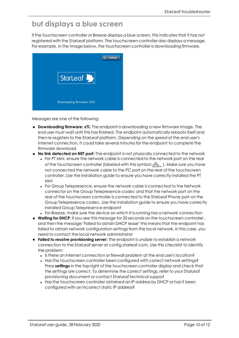### **but displays a blue screen**

If the touchscreen controller or Breeze displays a blue screen, this indicates that it has not registered with the StarLeaf platform. The touchscreen controller also displays a message. For example, in the image below, the touchscreen controller is downloading firmware.



Messages are one of the following:

- **n Downloading firmware: x%:** The endpoint is downloading a new firmware image. The end user must wait until this has finished. The endpoint automatically reboots itself and then re-registers to the StarLeaf platform. Depending on the speed of the end user's Internet connection, it could take several minutes for the endpoint to complete the firmware download
- <sup>n</sup> **No link detected on NET port**: The endpoint is not physically connected to the network
	- <sup>l</sup> For PT Mini, ensure the network cable is connected to the network port on the rear of the touchscreen controller (labeled with this symbol:  $\frac{1}{2}$ , ). Make sure you have not connected the network cable to the PC port on the rear of the touchscreen controller. Use the installation guide to ensure you have correctly installed the PT Mini
	- For Group Telepresence, ensure the network cable is connected to the Network connector on the Group Telepresence codec and that the network port on the rear of the touchscreen controller is connected to the StarLeaf Phone port on the Group Telepresence codec. Use the installation guide to ensure you have correctly installed Group Telepresence endpoint
	- For Breeze, make sure the device on which it is running has a network connection
- **Naiting for DHCP:** If you see this message for 20 seconds on the touchscreen controller, and then the message "Failed to obtain DHCP lease" this means that the endpoint has failed to obtain network configuration settings from the local network. In this case, you need to contact the local network administrator
- <sup>n</sup> **Failed to resolve provisioning server**: The endpoint is unable to establish a network connection to the StarLeaf server at config.starleaf.com. Use this checklist to identify the problem:
	- Is there an Internet connection or firewall problem at the end user's location?
	- Has the touchscreen controller been configured with correct network settings? Press **settings** in the top-right of the touchscreen controller display and check that the settings are correct. To determine the correct settings, refer to your StarLeaf provisioning document or contact StarLeaf technical support
	- Has the touchscreen controller obtained an IP address by DHCP or has it been configured with an incorrect static IP address?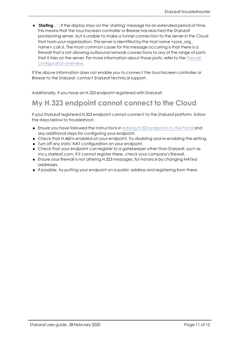**n Starting...'**: If the display stays on the 'starting' message for an extended period of time, this means that the touchscreen controller or Breeze has reached the StarLeaf provisioning server, but is unable to make a tunnel connection to the server in the Cloud that hosts your organization. This server is identified by the host name <your\_org\_ name>.call.sl. The most common cause for this message occurring is that there is a firewall that is not allowing outbound network connections to any of the range of ports that it tries on the server. For more information about those ports, refer to the Firewall configuration overview.

If the above information does not enable you to connect the touchscreen controller or Breeze to the StarLeaf, contact StarLeaf technical support.

Additionally, if you have an H.323 endpoint registered with StarLeaf:

# **My H.323 endpoint cannot connect to the Cloud**

If your StarLeaf registered H.323 endpoint cannot connect to the StarLeaf platform, follow the steps below to troubleshoot.

- **Ensure you have followed the instructions in Adding H.323 endpoints to the Portal and** any additional steps for configuring your endpoint.
- <sup>n</sup> Check that H.460 is enabled on your endpoint. Try disabling and re-enabling the setting.
- <sup>n</sup> Turn off any static NAT configuration on your endpoint.
- <sup>n</sup> Check that your endpoint can register to a gatekeeper other than StarLeaf, such as mcu.starleaf.com. If it cannot register there, check your company's firewall.
- <sup>n</sup> Ensure your firewall is not altering H.323 messages, for instance by changing NATed addresses.
- <sup>n</sup> If possible, try putting your endpoint on a public address and registering from there.